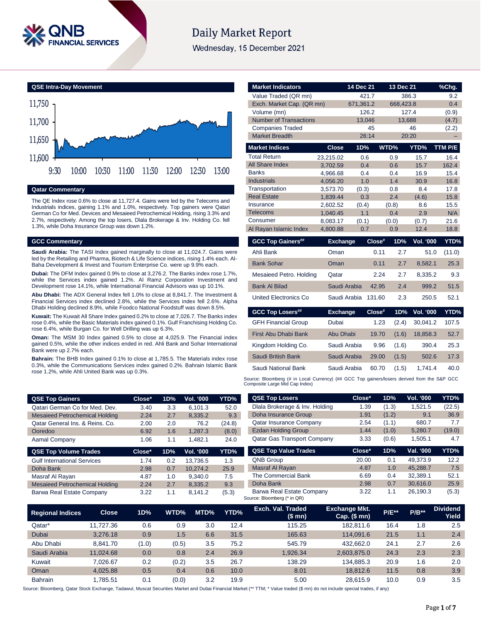

# **Daily Market Report**

Wednesday, 15 December 2021

**QSE Intra-Day Movement**



**Qatar Commentary**

The QE Index rose 0.6% to close at 11,727.4. Gains were led by the Telecoms and Industrials indices, gaining 1.1% and 1.0%, respectively. Top gainers were Qatari German Co for Med. Devices and Mesaieed Petrochemical Holding, rising 3.3% and 2.7%, respectively. Among the top losers, Dlala Brokerage & Inv. Holding Co. fell 1.3%, while Doha Insurance Group was down 1.2%.

### **GCC Commentary**

**Saudi Arabia:** The TASI Index gained marginally to close at 11,024.7. Gains were led by the Retailing and Pharma, Biotech & Life Science indices, rising 1.4% each. Al-Baha Development & Invest and Tourism Enterprise Co. were up 9.9% each.

**Dubai:** The DFM Index gained 0.9% to close at 3,276.2. The Banks index rose 1.7%, while the Services index gained 1.2%. Al Ramz Corporation Investment and Development rose 14.1%, while International Financial Advisors was up 10.1%.

**Abu Dhabi:** The ADX General Index fell 1.0% to close at 8,841.7. The Investment & Financial Services index declined 2.8%, while the Services index fell 2.6%. Alpha Dhabi Holding declined 8.9%, while Foodco National Foodstuff was down 8.5%.

**Kuwait:** The Kuwait All Share Index gained 0.2% to close at 7,026.7. The Banks index rose 0.4%, while the Basic Materials index gained 0.1%. Gulf Franchising Holding Co. rose 6.4%, while Burgan Co. for Well Drilling was up 6.3%.

**Oman:** The MSM 30 Index gained 0.5% to close at 4,025.9. The Financial index gained 0.5%, while the other indices ended in red. Ahli Bank and Sohar International Bank were up 2.7% each.

**Bahrain:** The BHB Index gained 0.1% to close at 1,785.5. The Materials index rose 0.3%, while the Communications Services index gained 0.2%. Bahrain Islamic Bank rose 1.2%, while Ahli United Bank was up 0.3%.

**QSE Top Gainers Close\* 1D% Vol. '000 YTD%** Qatari German Co for Med. Dev. 3.40 3.3 6,101.3 52.0 Mesaieed Petrochemical Holding 2.24 2.7 8,335.2 9.3 Qatar General Ins. & Reins. Co. 2.00 2.0 76.2 (24.8) Ooredoo 6.92 1.6 1,287.3 (8.0) Aamal Company 1.06 1.1 1,482.1 24.0 **QSE Top Volume Trades Close\* 1D% Vol. '000 YTD%** Gulf International Services 1.74 0.2 13,736.5 1.3 Doha Bank 2.98 0.7 10,274.2 25.9 Masraf Al Rayan 1.87 1.0 9,340.0 7.5 Mesaieed Petrochemical Holding 2.24 2.7 8,335.2 9.3 Barwa Real Estate Company 3.22 1.1 8,141.2 (5.3)

| <b>Market Indicators</b>                         |                      | 14 Dec 21    |        | 13 Dec 21  |                  | %Chg.        |
|--------------------------------------------------|----------------------|--------------|--------|------------|------------------|--------------|
| Value Traded (QR mn)                             |                      | 421.7        |        | 386.3      |                  | 9.2          |
| Exch. Market Cap. (QR mn)                        |                      | 671,361.2    |        | 668,423.8  |                  | 0.4          |
| Volume (mn)                                      |                      | 126.2        |        | 127.4      |                  | (0.9)        |
| <b>Number of Transactions</b>                    |                      | 13,046       |        | 13,688     |                  | (4.7)        |
| <b>Companies Traded</b><br><b>Market Breadth</b> |                      | 45           |        |            | 46               | (2.2)        |
|                                                  |                      | 26:14        |        | 20:20      |                  |              |
| <b>Market Indices</b>                            | <b>Close</b>         | 1D%          |        | WTD%       | YTD%             | TTM P/E      |
| <b>Total Return</b>                              | 23,215.02            | 0.6          |        | 0.9        | 15.7             | 16.4         |
| All Share Index                                  | 3,702.59             | 0.4          |        | 0.6        | 15.7             | 162.4        |
| <b>Banks</b>                                     | 4,966.68             | 0.4          |        | 0.4        | 16.9             | 15.4         |
| <b>Industrials</b><br>Transportation             | 4,056.20             | 1.0          |        | 1.4        | 30.9             | 16.8         |
| <b>Real Estate</b>                               | 3,573.70<br>1,839.44 | (0.3)<br>0.3 |        | 0.8<br>2.4 | 8.4<br>(4.6)     | 17.8<br>15.8 |
| Insurance                                        | 2,602.52             | (0.4)        |        | (0.8)      | 8.6              | 15.5         |
| Telecoms                                         | 1,040.45             | 1.1          |        | 0.4        | 2.9              | N/A          |
| Consumer                                         | 8,083.17             | (0.1)        |        | (0.0)      | (0.7)            | 21.6         |
| Al Rayan Islamic Index                           | 4,800.88             | 0.7          |        | 0.9        | 12.4             | 18.8         |
| <b>GCC Top Gainers##</b>                         | <b>Exchange</b>      |              | Close# | 1D%        | <b>Vol. '000</b> | YTD%         |
| Ahli Bank                                        | Oman                 |              | 0.11   | 2.7        | 51.0             | (11.0)       |
| <b>Bank Sohar</b>                                | Oman                 |              | 0.11   | 2.7        | 8,582.1          | 25.3         |
| Mesaieed Petro. Holding                          | Qatar                |              | 2.24   | 2.7        | 8,335.2          | 9.3          |
| <b>Bank Al Bilad</b>                             | Saudi Arabia         |              | 42.95  | 2.4        | 999.2            | 51.5         |
| <b>United Electronics Co</b>                     | Saudi Arabia         |              | 131.60 | 2.3        | 250.5            | 52.1         |
| <b>GCC Top Losers##</b>                          | <b>Exchange</b>      |              | Close# | 1D%        | <b>Vol. '000</b> | YTD%         |
| <b>GFH Financial Group</b>                       | Dubai                |              | 1.23   | (2.4)      | 30,041.2         | 107.5        |
| <b>First Abu Dhabi Bank</b>                      | Abu Dhabi            |              | 19.70  | (1.6)      | 18,858.3         | 52.7         |
| Kingdom Holding Co.                              | Saudi Arabia         |              | 9.96   | (1.6)      | 390.4            | 25.3         |
| Saudi British Bank                               | Saudi Arabia         |              | 29.00  | (1.5)      | 502.6            | 17.3         |
| Saudi National Bank                              | Saudi Arabia         |              | 60.70  | (1.5)      | 1,741.4          | 40.0         |

Source: Bloomberg (# in Local Currency) (## GCC Top gainers/losers derived from the S&P GCC Composite Large Mid Cap Index)

| <b>QSE Top Losers</b>          | Close* | 1D%   | <b>Vol. '000</b> | YTD%   |
|--------------------------------|--------|-------|------------------|--------|
| Dlala Brokerage & Inv. Holding | 1.39   | (1.3) | 1.521.5          | (22.5) |
| Doha Insurance Group           | 1.91   | (1.2) | 9.1              | 36.9   |
| <b>Qatar Insurance Company</b> | 2.54   | (1.1) | 680.7            | 7.7    |
| <b>Ezdan Holding Group</b>     | 1.44   | (1.0) | 5,280.7          | (19.0) |
| Qatar Gas Transport Company    | 3.33   | (0.6) | 1.505.1          | 4.7    |
|                                |        |       |                  |        |
| <b>QSE Top Value Trades</b>    | Close* | 1D%   | Val. '000        | YTD%   |
| <b>QNB Group</b>               | 20.00  | 0.1   | 49.373.9         | 12.2   |
| Masraf Al Rayan                | 4.87   | 1.0   | 45.288.7         | 7.5    |
| The Commercial Bank            | 6.69   | 0.4   | 32.389.1         | 52.1   |
| Doha Bank                      | 2.98   | 0.7   | 30.616.0         | 25.9   |

| <b>Regional Indices</b> | <b>Close</b> | 1D%   | WTD%  | MTD% | YTD% | Exch. Val. Traded<br>(\$ mn) | <b>Exchange Mkt.</b><br>$Cap.$ (\$ mn) | <b>P/E**</b> | $P/B**$ | <b>Dividend</b><br>Yield <sup>'</sup> |
|-------------------------|--------------|-------|-------|------|------|------------------------------|----------------------------------------|--------------|---------|---------------------------------------|
| Qatar*                  | 11.727.36    | 0.6   | 0.9   | 3.0  | 12.4 | 115.25                       | 182.811.6                              | 16.4         | 1.8     | 2.5                                   |
| Dubai                   | 3.276.18     | 0.9   | 1.5   | 6.6  | 31.5 | 165.63                       | 114.091.6                              | 21.5         | 1.1     | 2.4                                   |
| Abu Dhabi               | 8.841.70     | (1.0) | (0.5) | 3.5  | 75.2 | 545.79                       | 432.662.0                              | 24.1         | 2.7     | 2.6                                   |
| Saudi Arabia            | 11.024.68    | 0.0   | 0.8   | 2.4  | 26.9 | 1.926.34                     | 2,603,875.0                            | 24.3         | 2.3     | 2.3                                   |
| Kuwait                  | 7.026.67     | 0.2   | (0.2) | 3.5  | 26.7 | 138.29                       | 134.885.3                              | 20.9         | 1.6     | 2.0                                   |
| Oman                    | 4.025.88     | 0.5   | 0.4   | 0.6  | 10.0 | 8.01                         | 18.812.6                               | 11.5         | 0.8     | 3.9                                   |
| <b>Bahrain</b>          | .785.51      | 0.1   | (0.0) | 3.2  | 19.9 | 5.00                         | 28.615.9                               | 10.0         | 0.9     | 3.5                                   |

Source: Bloomberg, Qatar Stock Exchange, Tadawul, Muscat Securities Market and Dubai Financial Market (\*\* TTM; \* Value traded (\$ mn) do not include special trades, if any)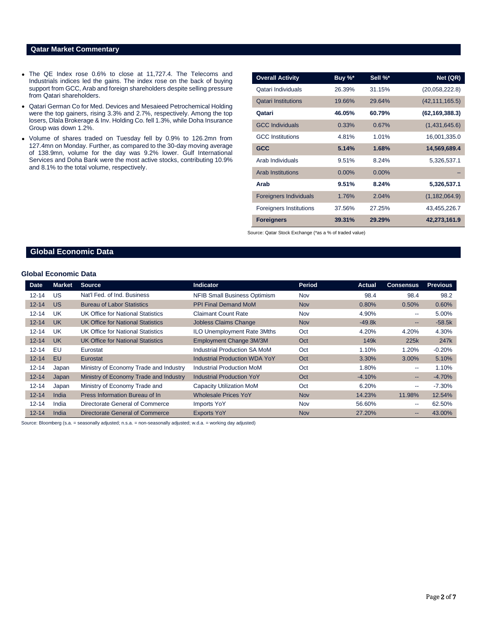### **Qatar Market Commentary**

- The QE Index rose 0.6% to close at 11,727.4. The Telecoms and Industrials indices led the gains. The index rose on the back of buying support from GCC, Arab and foreign shareholders despite selling pressure from Qatari shareholders.
- Qatari German Co for Med. Devices and Mesaieed Petrochemical Holding were the top gainers, rising 3.3% and 2.7%, respectively. Among the top losers, Dlala Brokerage & Inv. Holding Co. fell 1.3%, while Doha Insurance Group was down 1.2%.
- Volume of shares traded on Tuesday fell by 0.9% to 126.2mn from 127.4mn on Monday. Further, as compared to the 30-day moving average of 138.9mn, volume for the day was 9.2% lower. Gulf International Services and Doha Bank were the most active stocks, contributing 10.9% and 8.1% to the total volume, respectively.

| <b>Overall Activity</b>       | Buy %*   | Sell %*  | Net (QR)         |
|-------------------------------|----------|----------|------------------|
| Qatari Individuals            | 26.39%   | 31.15%   | (20,058,222.8)   |
| <b>Qatari Institutions</b>    | 19.66%   | 29.64%   | (42, 111, 165.5) |
| Qatari                        | 46.05%   | 60.79%   | (62, 169, 388.3) |
| <b>GCC Individuals</b>        | 0.33%    | 0.67%    | (1,431,645.6)    |
| <b>GCC</b> Institutions       | 4.81%    | 1.01%    | 16,001,335.0     |
| <b>GCC</b>                    | 5.14%    | 1.68%    | 14,569,689.4     |
| Arab Individuals              | 9.51%    | 8.24%    | 5,326,537.1      |
| <b>Arab Institutions</b>      | $0.00\%$ | $0.00\%$ |                  |
| Arab                          | 9.51%    | 8.24%    | 5,326,537.1      |
| <b>Foreigners Individuals</b> | 1.76%    | 2.04%    | (1, 182, 064.9)  |
| Foreigners Institutions       | 37.56%   | 27.25%   | 43,455,226.7     |
| <b>Foreigners</b>             | 39.31%   | 29.29%   | 42,273,161.9     |

Source: Qatar Stock Exchange (\*as a % of traded value)

# **Global Economic Data**

#### **Global Economic Data**

| <b>Date</b> | <b>Market</b> | <b>Source</b>                          | <b>Indicator</b>                     | <b>Period</b> | <b>Actual</b> | <b>Consensus</b> | <b>Previous</b>  |
|-------------|---------------|----------------------------------------|--------------------------------------|---------------|---------------|------------------|------------------|
| $12 - 14$   | US            | Nat'l Fed. of Ind. Business            | <b>NFIB Small Business Optimism</b>  | Nov           | 98.4          | 98.4             | 98.2             |
| $12 - 14$   | <b>US</b>     | <b>Bureau of Labor Statistics</b>      | <b>PPI Final Demand MoM</b>          | <b>Nov</b>    | 0.80%         | 0.50%            | 0.60%            |
| $12 - 14$   | UK            | UK Office for National Statistics      | <b>Claimant Count Rate</b>           | Nov           | 4.90%         | $- -$            | 5.00%            |
| $12 - 14$   | <b>UK</b>     | UK Office for National Statistics      | <b>Jobless Claims Change</b>         | <b>Nov</b>    | $-49.8k$      | --               | $-58.5k$         |
| $12 - 14$   | UK            | UK Office for National Statistics      | <b>ILO Unemployment Rate 3Mths</b>   | Oct           | 4.20%         | 4.20%            | 4.30%            |
| $12 - 14$   | <b>UK</b>     | UK Office for National Statistics      | Employment Change 3M/3M              | Oct           | 149k          | 225k             | 247 <sub>k</sub> |
| $12 - 14$   | EU            | Eurostat                               | Industrial Production SA MoM         | Oct           | 1.10%         | 1.20%            | $-0.20%$         |
| $12 - 14$   | EU            | Eurostat                               | <b>Industrial Production WDA YoY</b> | Oct           | 3.30%         | 3.00%            | 5.10%            |
| $12 - 14$   | Japan         | Ministry of Economy Trade and Industry | Industrial Production MoM            | Oct           | 1.80%         | $- -$            | 1.10%            |
| $12 - 14$   | Japan         | Ministry of Economy Trade and Industry | <b>Industrial Production YoY</b>     | Oct           | $-4.10%$      | --               | $-4.70%$         |
| $12 - 14$   | Japan         | Ministry of Economy Trade and          | Capacity Utilization MoM             | Oct           | 6.20%         | $- -$            | $-7.30%$         |
| $12 - 14$   | <b>India</b>  | Press Information Bureau of In         | <b>Wholesale Prices YoY</b>          | <b>Nov</b>    | 14.23%        | 11.98%           | 12.54%           |
| $12 - 14$   | India         | Directorate General of Commerce        | Imports YoY                          | Nov           | 56.60%        | $- -$            | 62.50%           |
| $12 - 14$   | India         | Directorate General of Commerce        | <b>Exports YoY</b>                   | <b>Nov</b>    | 27.20%        | $- -$            | 43.00%           |

Source: Bloomberg (s.a. = seasonally adjusted; n.s.a. = non-seasonally adjusted; w.d.a. = working day adjusted)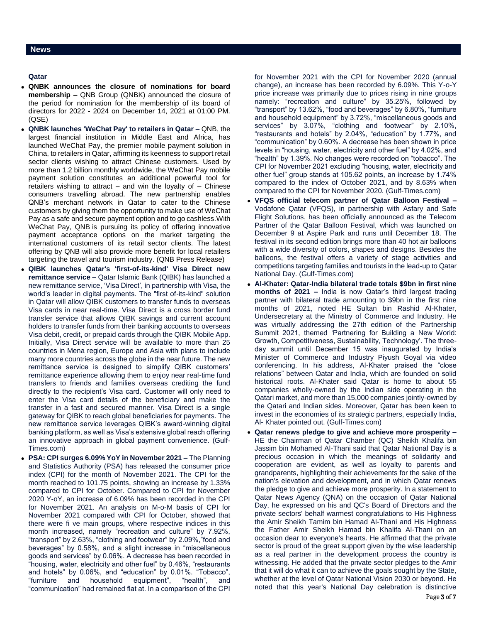# **Qatar**

- **QNBK announces the closure of nominations for board membership –** QNB Group (QNBK) announced the closure of the period for nomination for the membership of its board of directors for 2022 - 2024 on December 14, 2021 at 01:00 PM. (QSE)
- **QNBK launches 'WeChat Pay' to retailers in Qatar –** QNB, the largest financial institution in Middle East and Africa, has launched WeChat Pay, the premier mobile payment solution in China, to retailers in Qatar, affirming its keenness to support retail sector clients wishing to attract Chinese customers. Used by more than 1.2 billion monthly worldwide, the WeChat Pay mobile payment solution constitutes an additional powerful tool for retailers wishing to attract – and win the loyalty of – Chinese consumers travelling abroad. The new partnership enables QNB's merchant network in Qatar to cater to the Chinese customers by giving them the opportunity to make use of WeChat Pay as a safe and secure payment option and to go cashless.With WeChat Pay, QNB is pursuing its policy of offering innovative payment acceptance options on the market targeting the international customers of its retail sector clients. The latest offering by QNB will also provide more benefit for local retailers targeting the travel and tourism industry. (QNB Press Release)
- **QIBK launches Qatar's 'first-of-its-kind' Visa Direct new remittance service –** Qatar Islamic Bank (QIBK) has launched a new remittance service, 'Visa Direct', in partnership with Visa, the world's leader in digital payments. The "first of-its-kind" solution in Qatar will allow QIBK customers to transfer funds to overseas Visa cards in near real-time. Visa Direct is a cross border fund transfer service that allows QIBK savings and current account holders to transfer funds from their banking accounts to overseas Visa debit, credit, or prepaid cards through the QIBK Mobile App. Initially, Visa Direct service will be available to more than 25 countries in Mena region, Europe and Asia with plans to include many more countries across the globe in the near future. The new remittance service is designed to simplify QIBK customers' remittance experience allowing them to enjoy near real-time fund transfers to friends and families overseas crediting the fund directly to the recipient's Visa card. Customer will only need to enter the Visa card details of the beneficiary and make the transfer in a fast and secured manner. Visa Direct is a single gateway for QIBK to reach global beneficiaries for payments. The new remittance service leverages QIBK's award-winning digital banking platform, as well as Visa's extensive global reach offering an innovative approach in global payment convenience. (Gulf-Times.com)
- **PSA: CPI surges 6.09% YoY in November 2021 –** The Planning and Statistics Authority (PSA) has released the consumer price index (CPI) for the month of November 2021. The CPI for the month reached to 101.75 points, showing an increase by 1.33% compared to CPI for October. Compared to CPI for November 2020 Y-oY, an increase of 6.09% has been recorded in the CPI for November 2021. An analysis on M-o-M basis of CPI for November 2021 compared with CPI for October, showed that there were fi ve main groups, where respective indices in this month increased, namely "recreation and culture" by 7.92%, "transport" by 2.63%, "clothing and footwear" by 2.09%,"food and beverages" by 0.58%, and a slight increase in "miscellaneous goods and services" by 0.06%. A decrease has been recorded in "housing, water, electricity and other fuel" by 0.46%, "restaurants and hotels" by 0.06%, and "education" by 0.01%. "Tobacco", "furniture and household equipment", "health", and "communication" had remained flat at. In a comparison of the CPI

for November 2021 with the CPI for November 2020 (annual change), an increase has been recorded by 6.09%. This Y-o-Y price increase was primarily due to prices rising in nine groups namely: "recreation and culture" by 35.25%, followed by "transport" by 13.62%, "food and beverages" by 6.80%, "furniture and household equipment" by 3.72%, "miscellaneous goods and services" by 3.07%, "clothing and footwear" by 2.10%, "restaurants and hotels" by 2.04%, "education" by 1.77%, and "communication" by 0.60%. A decrease has been shown in price levels in "housing, water, electricity and other fuel" by 4.02%, and "health" by 1.39%. No changes were recorded on "tobacco". The CPI for November 2021 excluding "housing, water, electricity and other fuel" group stands at 105.62 points, an increase by 1.74% compared to the index of October 2021, and by 8.63% when compared to the CPI for November 2020. (Gulf-Times.com)

- **VFQS official telecom partner of Qatar Balloon Festival –** Vodafone Qatar (VFQS), in partnership with Asfary and Safe Flight Solutions, has been officially announced as the Telecom Partner of the Qatar Balloon Festival, which was launched on December 9 at Aspire Park and runs until December 18. The festival in its second edition brings more than 40 hot air balloons with a wide diversity of colors, shapes and designs. Besides the balloons, the festival offers a variety of stage activities and competitions targeting families and tourists in the lead-up to Qatar National Day. (Gulf-Times.com)
- **Al-Khater: Qatar-India bilateral trade totals \$9bn in first nine months of 2021 –** India is now Qatar's third largest trading partner with bilateral trade amounting to \$9bn in the first nine months of 2021, noted HE Sultan bin Rashid Al-Khater, Undersecretary at the Ministry of Commerce and Industry. He was virtually addressing the 27th edition of the Partnership Summit 2021, themed 'Partnering for Building a New World: Growth, Competitiveness, Sustainability, Technology'. The threeday summit until December 15 was inaugurated by India's Minister of Commerce and Industry Piyush Goyal via video conferencing. In his address, Al-Khater praised the "close relations" between Qatar and India, which are founded on solid historical roots. Al-Khater said Qatar is home to about 55 companies wholly-owned by the Indian side operating in the Qatari market, and more than 15,000 companies jointly-owned by the Qatari and Indian sides. Moreover, Qatar has been keen to invest in the economies of its strategic partners, especially India, Al- Khater pointed out. (Gulf-Times.com)
- **Qatar renews pledge to give and achieve more prosperity –** HE the Chairman of Qatar Chamber (QC) Sheikh Khalifa bin Jassim bin Mohamed Al-Thani said that Qatar National Day is a precious occasion in which the meanings of solidarity and cooperation are evident, as well as loyalty to parents and grandparents, highlighting their achievements for the sake of the nation's elevation and development, and in which Qatar renews the pledge to give and achieve more prosperity. In a statement to Qatar News Agency (QNA) on the occasion of Qatar National Day, he expressed on his and QC's Board of Directors and the private sectors' behalf warmest congratulations to His Highness the Amir Sheikh Tamim bin Hamad Al-Thani and His Highness the Father Amir Sheikh Hamad bin Khalifa Al-Thani on an occasion dear to everyone's hearts. He affirmed that the private sector is proud of the great support given by the wise leadership as a real partner in the development process the country is witnessing. He added that the private sector pledges to the Amir that it will do what it can to achieve the goals sought by the State, whether at the level of Qatar National Vision 2030 or beyond. He noted that this year's National Day celebration is distinctive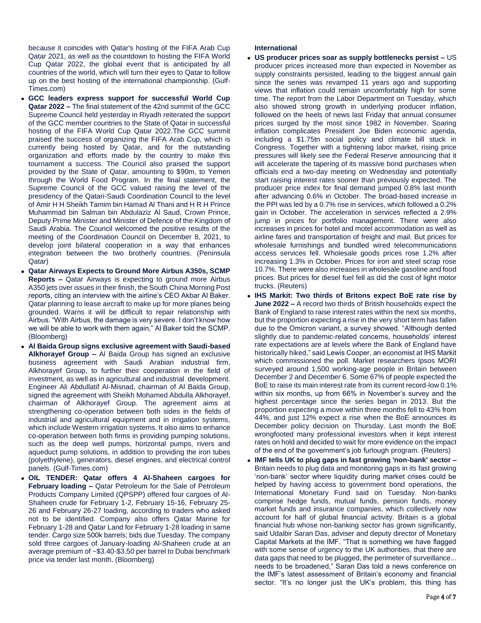because it coincides with Qatar's hosting of the FIFA Arab Cup Qatar 2021, as well as the countdown to hosting the FIFA World Cup Qatar 2022, the global event that is anticipated by all countries of the world, which will turn their eyes to Qatar to follow up on the best hosting of the international championship. (Gulf-Times.com)

- **GCC leaders express support for successful World Cup Qatar 2022 –** The final statement of the 42nd summit of the GCC Supreme Council held yesterday in Riyadh reiterated the support of the GCC member countries to the State of Qatar in successful hosting of the FIFA World Cup Qatar 2022.The GCC summit praised the success of organizing the FIFA Arab Cup, which is currently being hosted by Qatar, and for the outstanding organization and efforts made by the country to make this tournament a success. The Council also praised the support provided by the State of Qatar, amounting to \$90m, to Yemen through the World Food Program. In the final statement, the Supreme Council of the GCC valued raising the level of the presidency of the Qatari-Saudi Coordination Council to the level of Amir H H Sheikh Tamim bin Hamad Al Thani and H R H Prince Muhammad bin Salman bin Abdulaziz Al Saud, Crown Prince, Deputy Prime Minister and Minister of Defence of the Kingdom of Saudi Arabia. The Council welcomed the positive results of the meeting of the Coordination Council on December 8, 2021, to develop joint bilateral cooperation in a way that enhances integration between the two brotherly countries. (Peninsula Qatar)
- **Qatar Airways Expects to Ground More Airbus A350s, SCMP Reports –** Qatar Airways is expecting to ground more Airbus A350 jets over issues in their finish, the South China Morning Post reports, citing an interview with the airline's CEO Akbar Al Baker. Qatar planning to lease aircraft to make up for more planes being grounded. Warns it will be difficult to repair relationship with Airbus. "With Airbus, the damage is very severe. I don't know how we will be able to work with them again," Al Baker told the SCMP. (Bloomberg)
- **Al Baida Group signs exclusive agreement with Saudi-based Alkhorayef Group –** Al Baida Group has signed an exclusive business agreement with Saudi Arabian industrial firm, Alkhorayef Group, to further their cooperation in the field of investment, as well as in agricultural and industrial development. Engineer Ali Abdullatif Al-Misnad, chairman of Al Baida Group, signed the agreement with Sheikh Mohamed Abdulla Alkhorayef, chairman of Alkhorayef Group. The agreement aims at strengthening co-operation between both sides in the fields of industrial and agricultural equipment and in irrigation systems, which include Western irrigation systems. It also aims to enhance co-operation between both firms in providing pumping solutions, such as the deep well pumps, horizontal pumps, rivers and aqueduct pump solutions, in addition to providing the iron tubes (polyethylene), generators, diesel engines, and electrical control panels. (Gulf-Times.com)
- **OIL TENDER: Qatar offers 4 Al-Shaheen cargoes for February loading –** Qatar Petroleum for the Sale of Petroleum Products Company Limited (QPSPP) offered four cargoes of Al-Shaheen crude for February 1-2, February 15-16, February 25- 26 and February 26-27 loading, according to traders who asked not to be identified. Company also offers Qatar Marine for February 1-28 and Qatar Land for February 1-28 loading in same tender. Cargo size 500k barrels; bids due Tuesday. The company sold three cargoes of January-loading Al-Shaheen crude at an average premium of ~\$3.40-\$3.50 per barrel to Dubai benchmark price via tender last month. (Bloomberg)

#### **International**

- **US producer prices soar as supply bottlenecks persist –** US producer prices increased more than expected in November as supply constraints persisted, leading to the biggest annual gain since the series was revamped 11 years ago and supporting views that inflation could remain uncomfortably high for some time. The report from the Labor Department on Tuesday, which also showed strong growth in underlying producer inflation, followed on the heels of news last Friday that annual consumer prices surged by the most since 1982 in November. Soaring inflation complicates President Joe Biden economic agenda, including a \$1.75tn social policy and climate bill stuck in Congress. Together with a tightening labor market, rising price pressures will likely see the Federal Reserve announcing that it will accelerate the tapering of its massive bond purchases when officials end a two-day meeting on Wednesday and potentially start raising interest rates sooner than previously expected. The producer price index for final demand jumped 0.8% last month after advancing 0.6% in October. The broad-based increase in the PPI was led by a 0.7% rise in services, which followed a 0.2% gain in October. The acceleration in services reflected a 2.9% jump in prices for portfolio management. There were also increases in prices for hotel and motel accommodation as well as airline fares and transportation of freight and mail. But prices for wholesale furnishings and bundled wired telecommunications access services fell. Wholesale goods prices rose 1.2% after increasing 1.3% in October. Prices for iron and steel scrap rose 10.7%. There were also increases in wholesale gasoline and food prices. But prices for diesel fuel fell as did the cost of light motor trucks. (Reuters)
- **IHS Markit: Two thirds of Britons expect BoE rate rise by June 2022 –** A record two thirds of British households expect the Bank of England to raise interest rates within the next six months, but the proportion expecting a rise in the very short term has fallen due to the Omicron variant, a survey showed. "Although dented slightly due to pandemic-related concerns, households' interest rate expectations are at levels where the Bank of England have historically hiked," said Lewis Cooper, an economist at IHS Markit which commissioned the poll. Market researchers Ipsos MORI surveyed around 1,500 working-age people in Britain between December 2 and December 6. Some 67% of people expected the BoE to raise its main interest rate from its current record-low 0.1% within six months, up from 66% in November's survey and the highest percentage since the series began in 2013. But the proportion expecting a move within three months fell to 43% from 44%, and just 12% expect a rise when the BoE announces its December policy decision on Thursday. Last month the BoE wrongfooted many professional investors when it kept interest rates on hold and decided to wait for more evidence on the impact of the end of the government's job furlough program. (Reuters)
- **IMF tells UK to plug gaps in fast growing 'non-bank' sector –** Britain needs to plug data and monitoring gaps in its fast growing 'non-bank' sector where liquidity during market crises could be helped by having access to government bond operations, the International Monetary Fund said on Tuesday. Non-banks comprise hedge funds, mutual funds, pension funds, money market funds and insurance companies, which collectively now account for half of global financial activity. Britain is a global financial hub whose non-banking sector has grown significantly, said Udaibir Saran Das, adviser and deputy director of Monetary Capital Markets at the IMF. "That is something we have flagged with some sense of urgency to the UK authorities, that there are data gaps that need to be plugged, the perimeter of surveillance... needs to be broadened," Saran Das told a news conference on the IMF's latest assessment of Britain's economy and financial sector. "It's no longer just the UK's problem, this thing has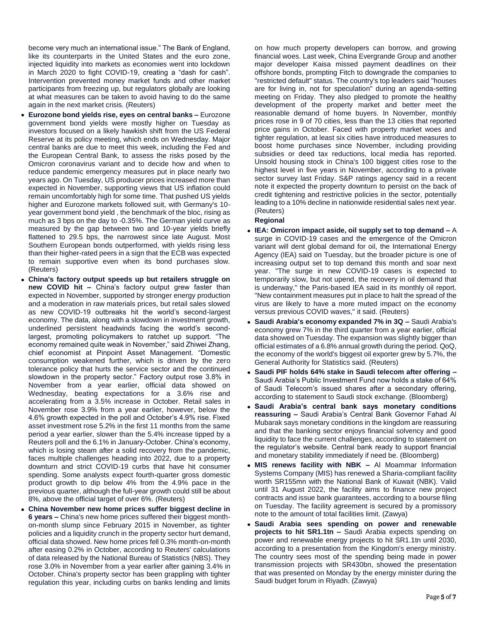become very much an international issue." The Bank of England, like its counterparts in the United States and the euro zone, injected liquidity into markets as economies went into lockdown in March 2020 to fight COVID-19, creating a "dash for cash". Intervention prevented money market funds and other market participants from freezing up, but regulators globally are looking at what measures can be taken to avoid having to do the same again in the next market crisis. (Reuters)

- **Eurozone bond yields rise, eyes on central banks –** Eurozone government bond yields were mostly higher on Tuesday as investors focused on a likely hawkish shift from the US Federal Reserve at its policy meeting, which ends on Wednesday. Major central banks are due to meet this week, including the Fed and the European Central Bank, to assess the risks posed by the Omicron coronavirus variant and to decide how and when to reduce pandemic emergency measures put in place nearly two years ago. On Tuesday, US producer prices increased more than expected in November, supporting views that US inflation could remain uncomfortably high for some time. That pushed US yields higher and Eurozone markets followed suit, with Germany's 10 year government bond yield , the benchmark of the bloc, rising as much as 3 bps on the day to -0.35%. The German yield curve as measured by the gap between two and 10-year yields briefly flattened to 29.5 bps, the narrowest since late August. Most Southern European bonds outperformed, with yields rising less than their higher-rated peers in a sign that the ECB was expected to remain supportive even when its bond purchases slow. (Reuters)
- **China's factory output speeds up but retailers struggle on new COVID hit –** China's factory output grew faster than expected in November, supported by stronger energy production and a moderation in raw materials prices, but retail sales slowed as new COVID-19 outbreaks hit the world's second-largest economy. The data, along with a slowdown in investment growth, underlined persistent headwinds facing the world's secondlargest, promoting policymakers to ratchet up support. "The economy remained quite weak in November," said Zhiwei Zhang, chief economist at Pinpoint Asset Management. "Domestic consumption weakened further, which is driven by the zero tolerance policy that hurts the service sector and the continued slowdown in the property sector." Factory output rose 3.8% in November from a year earlier, official data showed on Wednesday, beating expectations for a 3.6% rise and accelerating from a 3.5% increase in October. Retail sales in November rose 3.9% from a year earlier, however, below the 4.6% growth expected in the poll and October's 4.9% rise. Fixed asset investment rose 5.2% in the first 11 months from the same period a year earlier, slower than the 5.4% increase tipped by a Reuters poll and the 6.1% in January-October. China's economy, which is losing steam after a solid recovery from the pandemic, faces multiple challenges heading into 2022, due to a property downturn and strict COVID-19 curbs that have hit consumer spending. Some analysts expect fourth-quarter gross domestic product growth to dip below 4% from the 4.9% pace in the previous quarter, although the full-year growth could still be about 8%, above the official target of over 6%. (Reuters)
- **China November new home prices suffer biggest decline in 6 years –** China's new home prices suffered their biggest monthon-month slump since February 2015 in November, as tighter policies and a liquidity crunch in the property sector hurt demand, official data showed. New home prices fell 0.3% month-on-month after easing 0.2% in October, according to Reuters' calculations of data released by the National Bureau of Statistics (NBS). They rose 3.0% in November from a year earlier after gaining 3.4% in October. China's property sector has been grappling with tighter regulation this year, including curbs on banks lending and limits

on how much property developers can borrow, and growing financial woes. Last week, China Evergrande Group and another major developer Kaisa missed payment deadlines on their offshore bonds, prompting Fitch to downgrade the companies to "restricted default" status. The country's top leaders said "houses are for living in, not for speculation" during an agenda-setting meeting on Friday. They also pledged to promote the healthy development of the property market and better meet the reasonable demand of home buyers. In November, monthly prices rose in 9 of 70 cities, less than the 13 cities that reported price gains in October. Faced with property market woes and tighter regulation, at least six cities have introduced measures to boost home purchases since November, including providing subsidies or deed tax reductions, local media has reported. Unsold housing stock in China's 100 biggest cities rose to the highest level in five years in November, according to a private sector survey last Friday. S&P ratings agency said in a recent note it expected the property downturn to persist on the back of credit tightening and restrictive policies in the sector, potentially leading to a 10% decline in nationwide residential sales next year. (Reuters)

### **Regional**

- **IEA: Omicron impact aside, oil supply set to top demand –** A surge in COVID-19 cases and the emergence of the Omicron variant will dent global demand for oil, the International Energy Agency (IEA) said on Tuesday, but the broader picture is one of increasing output set to top demand this month and soar next year. "The surge in new COVID-19 cases is expected to temporarily slow, but not upend, the recovery in oil demand that is underway," the Paris-based IEA said in its monthly oil report. "New containment measures put in place to halt the spread of the virus are likely to have a more muted impact on the economy versus previous COVID waves," it said. (Reuters)
- **Saudi Arabia's economy expanded 7% in 3Q –** Saudi Arabia's economy grew 7% in the third quarter from a year earlier, official data showed on Tuesday. The expansion was slightly bigger than official estimates of a 6.8% annual growth during the period. QoQ, the economy of the world's biggest oil exporter grew by 5.7%, the General Authority for Statistics said. (Reuters)
- **Saudi PIF holds 64% stake in Saudi telecom after offering –** Saudi Arabia's Public Investment Fund now holds a stake of 64% of Saudi Telecom's issued shares after a secondary offering, according to statement to Saudi stock exchange. (Bloomberg)
- **Saudi Arabia's central bank says monetary conditions reassuring –** Saudi Arabia's Central Bank Governor Fahad Al Mubarak says monetary conditions in the kingdom are reassuring and that the banking sector enjoys financial solvency and good liquidity to face the current challenges, according to statement on the regulator's website. Central bank ready to support financial and monetary stability immediately if need be. (Bloomberg)
- **MIS renews facility with NBK –** Al Moammar Information Systems Company (MIS) has renewed a Sharia-compliant facility worth SR155mn with the National Bank of Kuwait (NBK). Valid until 31 August 2022, the facility aims to finance new project contracts and issue bank guarantees, according to a bourse filing on Tuesday. The facility agreement is secured by a promissory note to the amount of total facilities limit. (Zawya)
- **Saudi Arabia sees spending on power and renewable projects to hit SR1.1tn –** Saudi Arabia expects spending on power and renewable energy projects to hit SR1.1tn until 2030, according to a presentation from the Kingdom's energy ministry. The country sees most of the spending being made in power transmission projects with SR430bn, showed the presentation that was presented on Monday by the energy minister during the Saudi budget forum in Riyadh. (Zawya)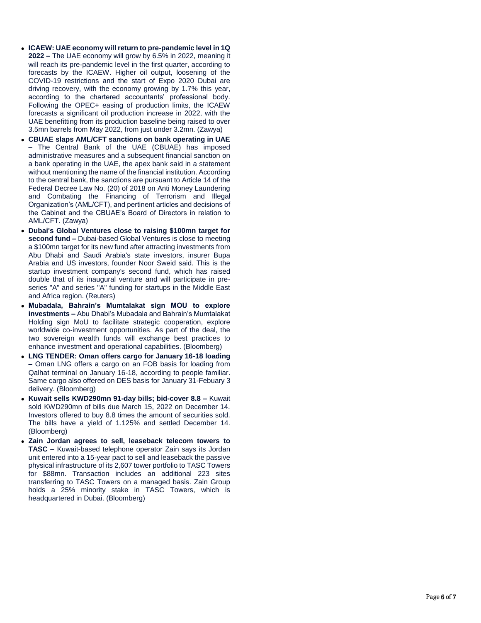- **.** ICAEW: UAE economy will return to pre-pandemic level in 1Q **2022 –** The UAE economy will grow by 6.5% in 2022, meaning it will reach its pre -pandemic level in the first quarter, according to forecasts by the ICAEW. Higher oil output, loosening of the COVID -19 restrictions and the start of Expo 2020 Dubai are driving recovery, with the economy growing by 1.7% this year, according to the chartered accountants' professional body. Following the OPEC+ easing of production limits, the ICAEW forecasts a significant oil production increase in 2022, with the UAE benefitting from its production baseline being raised to over 3.5mn barrels from May 2022, from just under 3.2mn. (Zawya)
- **CBUAE slaps AML/CFT sanctions on bank operating in UAE –** The Central Bank of the UAE (CBUAE) has imposed administrative measures and a subsequent financial sanction on a bank operating in the UAE, the apex bank said in a statement without mentioning the name of the financial institution. According to the central bank, the sanctions are pursuant to Article 14 of the Federal Decree Law No. (20) of 2018 on Anti Money Laundering and Combating the Financing of Terrorism and Illegal Organization's (AML/CFT), and pertinent articles and decisions of the Cabinet and the CBUAE's Board of Directors in relation to AML/CFT. (Zawya)
- **Dubai's Global Ventures close to raising \$100mn target for**  second fund - Dubai-based Global Ventures is close to meeting a \$100mn target for its new fund after attracting investments from Abu Dhabi and Saudi Arabia's state investors, insurer Bupa Arabia and US investors, founder Noor Sweid said. This is the startup investment company's second fund, which has raised double that of its inaugural venture and will participate in pre series "A" and series "A" funding for startups in the Middle East and Africa region. (Reuters)
- **Mubadala, Bahrain's Mumtalakat sign MOU to explore investments –** Abu Dhabi's Mubadala and Bahrain's Mumtalakat Holding sign MoU to facilitate strategic cooperation, explore worldwide co -investment opportunities. As part of the deal, the two sovereign wealth funds will exchange best practices to enhance investment and operational capabilities. (Bloomberg)
- **LNG TENDER: Oman offers cargo for January 16 -18 loading –** Oman LNG offers a cargo on an FOB basis for loading from Qalhat terminal on January 16 -18, according to people familiar. Same cargo also offered on DES basis for January 31 -Febuary 3 delivery. (Bloomberg)
- **Kuwait sells KWD290mn 91-day bills; bid-cover 8.8 Kuwait** sold KWD290mn of bills due March 15, 2022 on December 14. Investors offered to buy 8.8 times the amount of securities sold. The bills have a yield of 1.125% and settled December 14. (Bloomberg)
- **Zain Jordan agrees to sell, leaseback telecom towers to TASC -** Kuwait-based telephone operator Zain says its Jordan unit entered into a 15 -year pact to sell and leaseback the passive physical infrastructure of its 2,607 tower portfolio to TASC Towers for \$88mn. Transaction includes an additional 223 sites transferring to TASC Towers on a managed basis. Zain Group holds a 25% minority stake in TASC Towers, which is headquartered in Dubai. (Bloomberg)